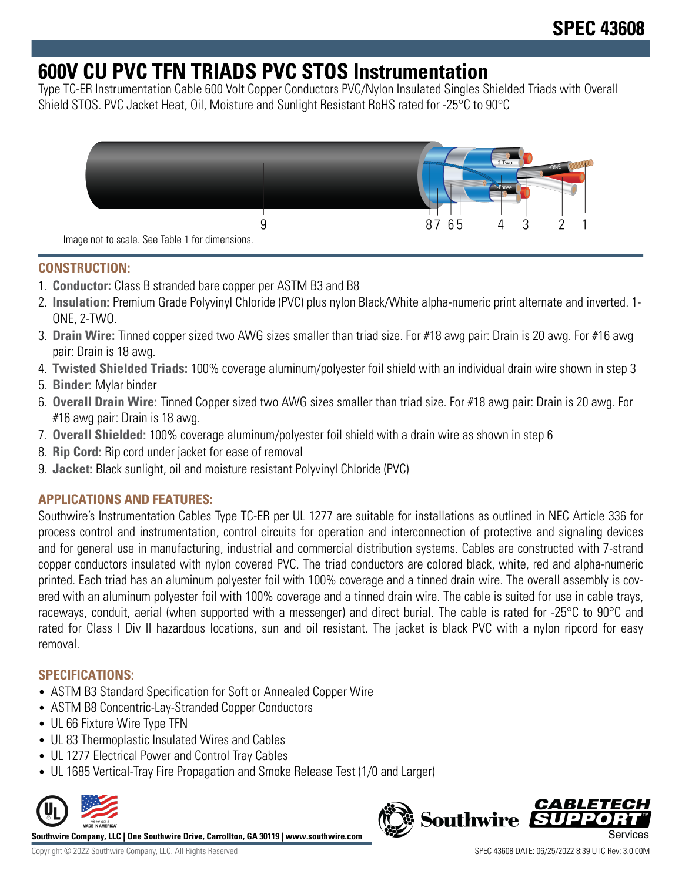# **600V CU PVC TFN TRIADS PVC STOS Instrumentation**

Type TC-ER Instrumentation Cable 600 Volt Copper Conductors PVC/Nylon Insulated Singles Shielded Triads with Overall Shield STOS. PVC Jacket Heat, Oil, Moisture and Sunlight Resistant RoHS rated for -25°C to 90°C



## **CONSTRUCTION:**

- 1. **Conductor:** Class B stranded bare copper per ASTM B3 and B8
- 2. **Insulation:** Premium Grade Polyvinyl Chloride (PVC) plus nylon Black/White alpha-numeric print alternate and inverted. 1- ONE, 2-TWO.
- 3. **Drain Wire:** Tinned copper sized two AWG sizes smaller than triad size. For #18 awg pair: Drain is 20 awg. For #16 awg pair: Drain is 18 awg.
- 4. **Twisted Shielded Triads:** 100% coverage aluminum/polyester foil shield with an individual drain wire shown in step 3
- 5. **Binder:** Mylar binder
- 6. **Overall Drain Wire:** Tinned Copper sized two AWG sizes smaller than triad size. For #18 awg pair: Drain is 20 awg. For #16 awg pair: Drain is 18 awg.
- 7. **Overall Shielded:** 100% coverage aluminum/polyester foil shield with a drain wire as shown in step 6
- 8. **Rip Cord:** Rip cord under jacket for ease of removal
- 9. **Jacket:** Black sunlight, oil and moisture resistant Polyvinyl Chloride (PVC)

## **APPLICATIONS AND FEATURES:**

Southwire's Instrumentation Cables Type TC-ER per UL 1277 are suitable for installations as outlined in NEC Article 336 for process control and instrumentation, control circuits for operation and interconnection of protective and signaling devices and for general use in manufacturing, industrial and commercial distribution systems. Cables are constructed with 7-strand copper conductors insulated with nylon covered PVC. The triad conductors are colored black, white, red and alpha-numeric printed. Each triad has an aluminum polyester foil with 100% coverage and a tinned drain wire. The overall assembly is covered with an aluminum polyester foil with 100% coverage and a tinned drain wire. The cable is suited for use in cable trays, raceways, conduit, aerial (when supported with a messenger) and direct burial. The cable is rated for -25°C to 90°C and rated for Class I Div II hazardous locations, sun and oil resistant. The jacket is black PVC with a nylon ripcord for easy removal.

## **SPECIFICATIONS:**

- ASTM B3 Standard Specification for Soft or Annealed Copper Wire
- ASTM B8 Concentric-Lay-Stranded Copper Conductors
- UL 66 Fixture Wire Type TFN
- UL 83 Thermoplastic Insulated Wires and Cables
- UL 1277 Electrical Power and Control Tray Cables
- UL 1685 Vertical-Tray Fire Propagation and Smoke Release Test (1/0 and Larger)



**Southwire Company, LLC | One Southwire Drive, Carrollton, GA 30119 | www.southwire.com**

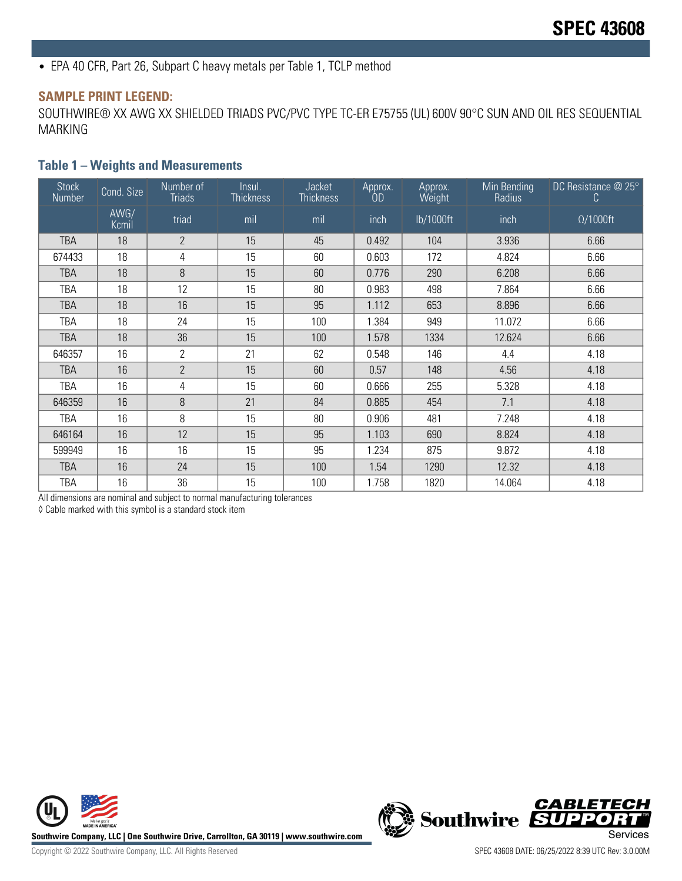• EPA 40 CFR, Part 26, Subpart C heavy metals per Table 1, TCLP method

#### **SAMPLE PRINT LEGEND:**

SOUTHWIRE® XX AWG XX SHIELDED TRIADS PVC/PVC TYPE TC-ER E75755 (UL) 600V 90°C SUN AND OIL RES SEQUENTIAL MARKING

### **Table 1 – Weights and Measurements**

| <b>Stock</b><br>Number | Cond. Size    | Number of<br>Triads | Insul.<br><b>Thickness</b> | <b>Jacket</b><br><b>Thickness</b> | Approx.<br>ÒD | Approx.<br>Weight | Min Bending<br>Radius | DC Resistance @ 25°<br>C |
|------------------------|---------------|---------------------|----------------------------|-----------------------------------|---------------|-------------------|-----------------------|--------------------------|
|                        | AWG/<br>Kcmil | triad               | mil                        | mil                               | inch          | lb/1000ft         | inch                  | $\Omega/1000$ ft         |
| TBA                    | 18            | $\overline{2}$      | 15                         | 45                                | 0.492         | 104               | 3.936                 | 6.66                     |
| 674433                 | 18            | 4                   | 15                         | 60                                | 0.603         | 172               | 4.824                 | 6.66                     |
| <b>TBA</b>             | 18            | 8                   | 15                         | 60                                | 0.776         | 290               | 6.208                 | 6.66                     |
| TBA                    | 18            | 12                  | 15                         | 80                                | 0.983         | 498               | 7.864                 | 6.66                     |
| <b>TBA</b>             | 18            | 16                  | 15                         | 95                                | 1.112         | 653               | 8.896                 | 6.66                     |
| TBA                    | 18            | 24                  | 15                         | 100                               | 1.384         | 949               | 11.072                | 6.66                     |
| <b>TBA</b>             | 18            | 36                  | 15                         | 100                               | 1.578         | 1334              | 12.624                | 6.66                     |
| 646357                 | 16            | $\overline{2}$      | 21                         | 62                                | 0.548         | 146               | 4.4                   | 4.18                     |
| <b>TBA</b>             | 16            | $\overline{2}$      | 15                         | 60                                | 0.57          | 148               | 4.56                  | 4.18                     |
| TBA                    | 16            | 4                   | 15                         | 60                                | 0.666         | 255               | 5.328                 | 4.18                     |
| 646359                 | 16            | 8                   | 21                         | 84                                | 0.885         | 454               | 7.1                   | 4.18                     |
| TBA                    | 16            | 8                   | 15                         | 80                                | 0.906         | 481               | 7.248                 | 4.18                     |
| 646164                 | 16            | 12                  | 15                         | 95                                | 1.103         | 690               | 8.824                 | 4.18                     |
| 599949                 | 16            | 16                  | 15                         | 95                                | 1.234         | 875               | 9.872                 | 4.18                     |
| <b>TBA</b>             | 16            | 24                  | 15                         | 100                               | 1.54          | 1290              | 12.32                 | 4.18                     |
| <b>TBA</b>             | 16            | 36                  | 15                         | 100                               | 1.758         | 1820              | 14.064                | 4.18                     |

All dimensions are nominal and subject to normal manufacturing tolerances

◊ Cable marked with this symbol is a standard stock item